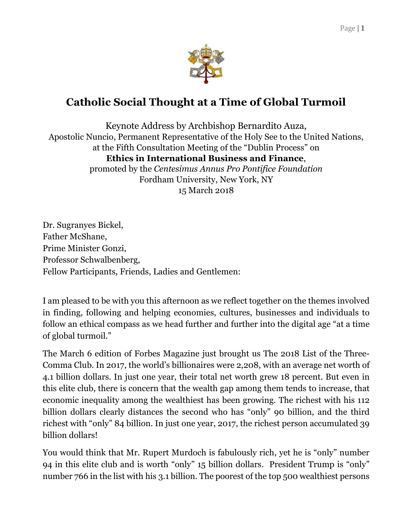

## **Catholic Social Thought at a Time of Global Turmoil**

Keynote Address by Archbishop Bernardito Auza, Apostolic Nuncio, Permanent Representative of the Holy See to the United Nations, at the Fifth Consultation Meeting of the "Dublin Process" on **Ethics in International Business and Finance**, promoted by the *Centesimus Annus Pro Pontifice Foundation* Fordham University, New York, NY 15 March 2018

Dr. Sugranyes Bickel, Father McShane, Prime Minister Gonzi, Professor Schwalbenberg, Fellow Participants, Friends, Ladies and Gentlemen:

I am pleased to be with you this afternoon as we reflect together on the themes involved in finding, following and helping economies, cultures, businesses and individuals to follow an ethical compass as we head further and further into the digital age "at a time of global turmoil."

The March 6 edition of Forbes Magazine just brought us The 2018 List of the Three-Comma Club. In 2017, the world's billionaires were 2,208, with an average net worth of 4.1 billion dollars. In just one year, their total net worth grew 18 percent. But even in this elite club, there is concern that the wealth gap among them tends to increase, that economic inequality among the wealthiest has been growing. The richest with his 112 billion dollars clearly distances the second who has "only" 90 billion, and the third richest with "only" 84 billion. In just one year, 2017, the richest person accumulated 39 billion dollars!

You would think that Mr. Rupert Murdoch is fabulously rich, yet he is "only" number 94 in this elite club and is worth "only" 15 billion dollars. President Trump is "only" number 766 in the list with his 3.1 billion. The poorest of the top 500 wealthiest persons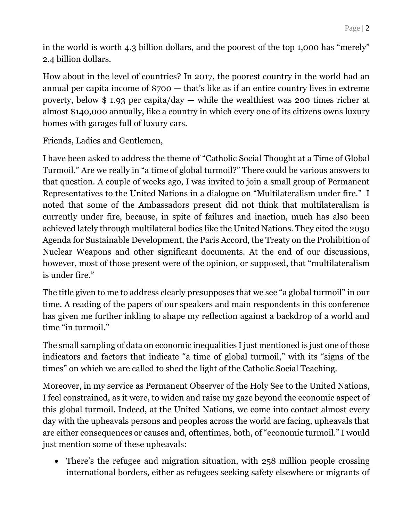in the world is worth 4.3 billion dollars, and the poorest of the top 1,000 has "merely" 2.4 billion dollars.

How about in the level of countries? In 2017, the poorest country in the world had an annual per capita income of \$700 — that's like as if an entire country lives in extreme poverty, below \$ 1.93 per capita/day — while the wealthiest was 200 times richer at almost \$140,000 annually, like a country in which every one of its citizens owns luxury homes with garages full of luxury cars.

Friends, Ladies and Gentlemen,

I have been asked to address the theme of "Catholic Social Thought at a Time of Global Turmoil." Are we really in "a time of global turmoil?" There could be various answers to that question. A couple of weeks ago, I was invited to join a small group of Permanent Representatives to the United Nations in a dialogue on "Multilateralism under fire." I noted that some of the Ambassadors present did not think that multilateralism is currently under fire, because, in spite of failures and inaction, much has also been achieved lately through multilateral bodies like the United Nations. They cited the 2030 Agenda for Sustainable Development, the Paris Accord, the Treaty on the Prohibition of Nuclear Weapons and other significant documents. At the end of our discussions, however, most of those present were of the opinion, or supposed, that "multilateralism is under fire."

The title given to me to address clearly presupposes that we see "a global turmoil" in our time. A reading of the papers of our speakers and main respondents in this conference has given me further inkling to shape my reflection against a backdrop of a world and time "in turmoil."

The small sampling of data on economic inequalities I just mentioned is just one of those indicators and factors that indicate "a time of global turmoil," with its "signs of the times" on which we are called to shed the light of the Catholic Social Teaching.

Moreover, in my service as Permanent Observer of the Holy See to the United Nations, I feel constrained, as it were, to widen and raise my gaze beyond the economic aspect of this global turmoil. Indeed, at the United Nations, we come into contact almost every day with the upheavals persons and peoples across the world are facing, upheavals that are either consequences or causes and, oftentimes, both, of "economic turmoil." I would just mention some of these upheavals:

 There's the refugee and migration situation, with 258 million people crossing international borders, either as refugees seeking safety elsewhere or migrants of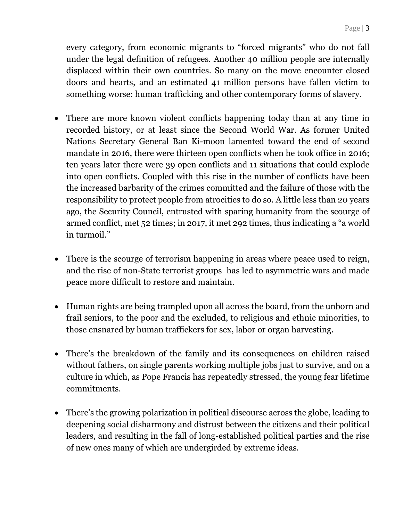every category, from economic migrants to "forced migrants" who do not fall under the legal definition of refugees. Another 40 million people are internally displaced within their own countries. So many on the move encounter closed doors and hearts, and an estimated 41 million persons have fallen victim to something worse: human trafficking and other contemporary forms of slavery.

- There are more known violent conflicts happening today than at any time in recorded history, or at least since the Second World War. As former United Nations Secretary General Ban Ki-moon lamented toward the end of second mandate in 2016, there were thirteen open conflicts when he took office in 2016; ten years later there were 39 open conflicts and 11 situations that could explode into open conflicts. Coupled with this rise in the number of conflicts have been the increased barbarity of the crimes committed and the failure of those with the responsibility to protect people from atrocities to do so. A little less than 20 years ago, the Security Council, entrusted with sparing humanity from the scourge of armed conflict, met 52 times; in 2017, it met 292 times, thus indicating a "a world in turmoil."
- There is the scourge of terrorism happening in areas where peace used to reign, and the rise of non-State terrorist groups has led to asymmetric wars and made peace more difficult to restore and maintain.
- Human rights are being trampled upon all across the board, from the unborn and frail seniors, to the poor and the excluded, to religious and ethnic minorities, to those ensnared by human traffickers for sex, labor or organ harvesting.
- There's the breakdown of the family and its consequences on children raised without fathers, on single parents working multiple jobs just to survive, and on a culture in which, as Pope Francis has repeatedly stressed, the young fear lifetime commitments.
- There's the growing polarization in political discourse across the globe, leading to deepening social disharmony and distrust between the citizens and their political leaders, and resulting in the fall of long-established political parties and the rise of new ones many of which are undergirded by extreme ideas.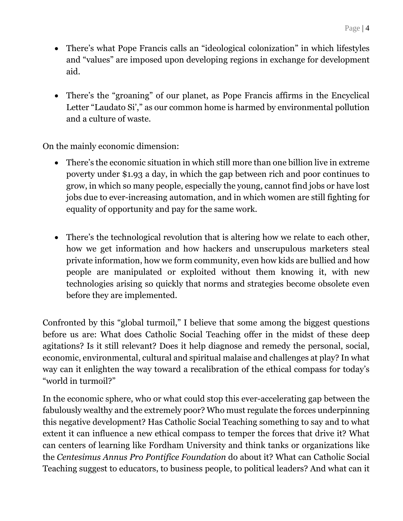- There's what Pope Francis calls an "ideological colonization" in which lifestyles and "values" are imposed upon developing regions in exchange for development aid.
- There's the "groaning" of our planet, as Pope Francis affirms in the Encyclical Letter "Laudato Si'," as our common home is harmed by environmental pollution and a culture of waste.

On the mainly economic dimension:

- There's the economic situation in which still more than one billion live in extreme poverty under \$1.93 a day, in which the gap between rich and poor continues to grow, in which so many people, especially the young, cannot find jobs or have lost jobs due to ever-increasing automation, and in which women are still fighting for equality of opportunity and pay for the same work.
- There's the technological revolution that is altering how we relate to each other, how we get information and how hackers and unscrupulous marketers steal private information, how we form community, even how kids are bullied and how people are manipulated or exploited without them knowing it, with new technologies arising so quickly that norms and strategies become obsolete even before they are implemented.

Confronted by this "global turmoil," I believe that some among the biggest questions before us are: What does Catholic Social Teaching offer in the midst of these deep agitations? Is it still relevant? Does it help diagnose and remedy the personal, social, economic, environmental, cultural and spiritual malaise and challenges at play? In what way can it enlighten the way toward a recalibration of the ethical compass for today's "world in turmoil?"

In the economic sphere, who or what could stop this ever-accelerating gap between the fabulously wealthy and the extremely poor? Who must regulate the forces underpinning this negative development? Has Catholic Social Teaching something to say and to what extent it can influence a new ethical compass to temper the forces that drive it? What can centers of learning like Fordham University and think tanks or organizations like the *Centesimus Annus Pro Pontifice Foundation* do about it? What can Catholic Social Teaching suggest to educators, to business people, to political leaders? And what can it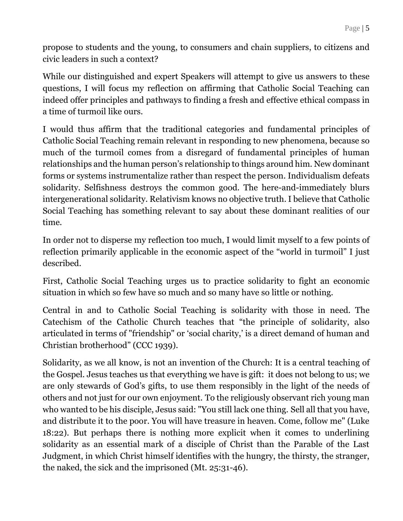propose to students and the young, to consumers and chain suppliers, to citizens and civic leaders in such a context?

While our distinguished and expert Speakers will attempt to give us answers to these questions, I will focus my reflection on affirming that Catholic Social Teaching can indeed offer principles and pathways to finding a fresh and effective ethical compass in a time of turmoil like ours.

I would thus affirm that the traditional categories and fundamental principles of Catholic Social Teaching remain relevant in responding to new phenomena, because so much of the turmoil comes from a disregard of fundamental principles of human relationships and the human person's relationship to things around him. New dominant forms or systems instrumentalize rather than respect the person. Individualism defeats solidarity. Selfishness destroys the common good. The here-and-immediately blurs intergenerational solidarity. Relativism knows no objective truth. I believe that Catholic Social Teaching has something relevant to say about these dominant realities of our time.

In order not to disperse my reflection too much, I would limit myself to a few points of reflection primarily applicable in the economic aspect of the "world in turmoil" I just described.

First, Catholic Social Teaching urges us to practice solidarity to fight an economic situation in which so few have so much and so many have so little or nothing.

Central in and to Catholic Social Teaching is solidarity with those in need. The Catechism of the Catholic Church teaches that "the principle of solidarity, also articulated in terms of "friendship" or 'social charity,' is a direct demand of human and Christian brotherhood" (CCC 1939).

Solidarity, as we all know, is not an invention of the Church: It is a central teaching of the Gospel. Jesus teaches us that everything we have is gift: it does not belong to us; we are only stewards of God's gifts, to use them responsibly in the light of the needs of others and not just for our own enjoyment. To the religiously observant rich young man who wanted to be his disciple, Jesus said: "You still lack one thing. Sell all that you have, and distribute it to the poor. You will have treasure in heaven. Come, follow me" (Luke 18:22). But perhaps there is nothing more explicit when it comes to underlining solidarity as an essential mark of a disciple of Christ than the Parable of the Last Judgment, in which Christ himself identifies with the hungry, the thirsty, the stranger, the naked, the sick and the imprisoned (Mt. 25:31-46).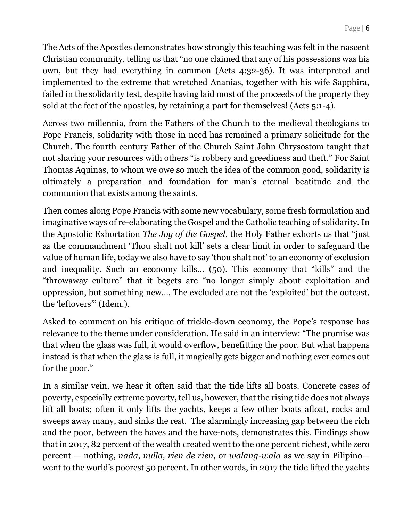The Acts of the Apostles demonstrates how strongly this teaching was felt in the nascent Christian community, telling us that "no one claimed that any of his possessions was his own, but they had everything in common (Acts 4:32-36). It was interpreted and implemented to the extreme that wretched Ananias, together with his wife Sapphira, failed in the solidarity test, despite having laid most of the proceeds of the property they sold at the feet of the apostles, by retaining a part for themselves! (Acts 5:1-4).

Across two millennia, from the Fathers of the Church to the medieval theologians to Pope Francis, solidarity with those in need has remained a primary solicitude for the Church. The fourth century Father of the Church Saint John Chrysostom taught that not sharing your resources with others "is robbery and greediness and theft." For Saint Thomas Aquinas, to whom we owe so much the idea of the common good, solidarity is ultimately a preparation and foundation for man's eternal beatitude and the communion that exists among the saints.

Then comes along Pope Francis with some new vocabulary, some fresh formulation and imaginative ways of re-elaborating the Gospel and the Catholic teaching of solidarity. In the Apostolic Exhortation *The Joy of the Gospel*, the Holy Father exhorts us that "just as the commandment 'Thou shalt not kill' sets a clear limit in order to safeguard the value of human life, today we also have to say 'thou shalt not' to an economy of exclusion and inequality. Such an economy kills… (50). This economy that "kills" and the "throwaway culture" that it begets are "no longer simply about exploitation and oppression, but something new.… The excluded are not the 'exploited' but the outcast, the 'leftovers'" (Idem.).

Asked to comment on his critique of trickle-down economy, the Pope's response has relevance to the theme under consideration. He said in an interview: "The promise was that when the glass was full, it would overflow, benefitting the poor. But what happens instead is that when the glass is full, it magically gets bigger and nothing ever comes out for the poor."

In a similar vein, we hear it often said that the tide lifts all boats. Concrete cases of poverty, especially extreme poverty, tell us, however, that the rising tide does not always lift all boats; often it only lifts the yachts, keeps a few other boats afloat, rocks and sweeps away many, and sinks the rest. The alarmingly increasing gap between the rich and the poor, between the haves and the have-nots, demonstrates this. Findings show that in 2017, 82 percent of the wealth created went to the one percent richest, while zero percent — nothing, *nada, nulla, rien de rien,* or *walang-wala* as we say in Pilipino went to the world's poorest 50 percent. In other words, in 2017 the tide lifted the yachts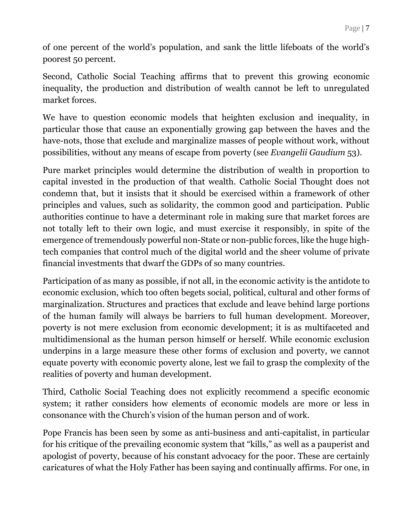of one percent of the world's population, and sank the little lifeboats of the world's poorest 50 percent.

Second, Catholic Social Teaching affirms that to prevent this growing economic inequality, the production and distribution of wealth cannot be left to unregulated market forces.

We have to question economic models that heighten exclusion and inequality, in particular those that cause an exponentially growing gap between the haves and the have-nots, those that exclude and marginalize masses of people without work, without possibilities, without any means of escape from poverty (see *Evangelii Gaudium* 53).

Pure market principles would determine the distribution of wealth in proportion to capital invested in the production of that wealth. Catholic Social Thought does not condemn that, but it insists that it should be exercised within a framework of other principles and values, such as solidarity, the common good and participation. Public authorities continue to have a determinant role in making sure that market forces are not totally left to their own logic, and must exercise it responsibly, in spite of the emergence of tremendously powerful non-State or non-public forces, like the huge hightech companies that control much of the digital world and the sheer volume of private financial investments that dwarf the GDPs of so many countries.

Participation of as many as possible, if not all, in the economic activity is the antidote to economic exclusion, which too often begets social, political, cultural and other forms of marginalization. Structures and practices that exclude and leave behind large portions of the human family will always be barriers to full human development. Moreover, poverty is not mere exclusion from economic development; it is as multifaceted and multidimensional as the human person himself or herself. While economic exclusion underpins in a large measure these other forms of exclusion and poverty, we cannot equate poverty with economic poverty alone, lest we fail to grasp the complexity of the realities of poverty and human development.

Third, Catholic Social Teaching does not explicitly recommend a specific economic system; it rather considers how elements of economic models are more or less in consonance with the Church's vision of the human person and of work.

Pope Francis has been seen by some as anti-business and anti-capitalist, in particular for his critique of the prevailing economic system that "kills," as well as a pauperist and apologist of poverty, because of his constant advocacy for the poor. These are certainly caricatures of what the Holy Father has been saying and continually affirms. For one, in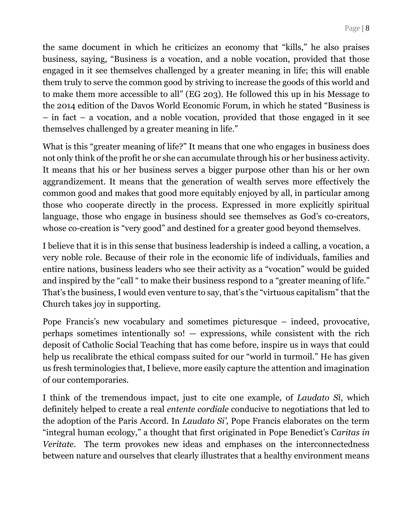the same document in which he criticizes an economy that "kills," he also praises business, saying, "Business is a vocation, and a noble vocation, provided that those engaged in it see themselves challenged by a greater meaning in life; this will enable them truly to serve the common good by striving to increase the goods of this world and to make them more accessible to all" (EG 203). He followed this up in his Message to the 2014 edition of the Davos World Economic Forum, in which he stated "Business is – in fact – a vocation, and a noble vocation, provided that those engaged in it see themselves challenged by a greater meaning in life."

What is this "greater meaning of life?" It means that one who engages in business does not only think of the profit he or she can accumulate through his or her business activity. It means that his or her business serves a bigger purpose other than his or her own aggrandizement. It means that the generation of wealth serves more effectively the common good and makes that good more equitably enjoyed by all, in particular among those who cooperate directly in the process. Expressed in more explicitly spiritual language, those who engage in business should see themselves as God's co-creators, whose co-creation is "very good" and destined for a greater good beyond themselves.

I believe that it is in this sense that business leadership is indeed a calling, a vocation, a very noble role. Because of their role in the economic life of individuals, families and entire nations, business leaders who see their activity as a "vocation" would be guided and inspired by the "call " to make their business respond to a "greater meaning of life." That's the business, I would even venture to say, that's the "virtuous capitalism" that the Church takes joy in supporting.

Pope Francis's new vocabulary and sometimes picturesque – indeed, provocative, perhaps sometimes intentionally so!  $-$  expressions, while consistent with the rich deposit of Catholic Social Teaching that has come before, inspire us in ways that could help us recalibrate the ethical compass suited for our "world in turmoil." He has given us fresh terminologies that, I believe, more easily capture the attention and imagination of our contemporaries.

I think of the tremendous impact, just to cite one example, of *Laudato Sì*, which definitely helped to create a real *entente cordiale* conducive to negotiations that led to the adoption of the Paris Accord. In *Laudato Si',* Pope Francis elaborates on the term "integral human ecology," a thought that first originated in Pope Benedict's C*aritas in Veritate*. The term provokes new ideas and emphases on the interconnectedness between nature and ourselves that clearly illustrates that a healthy environment means